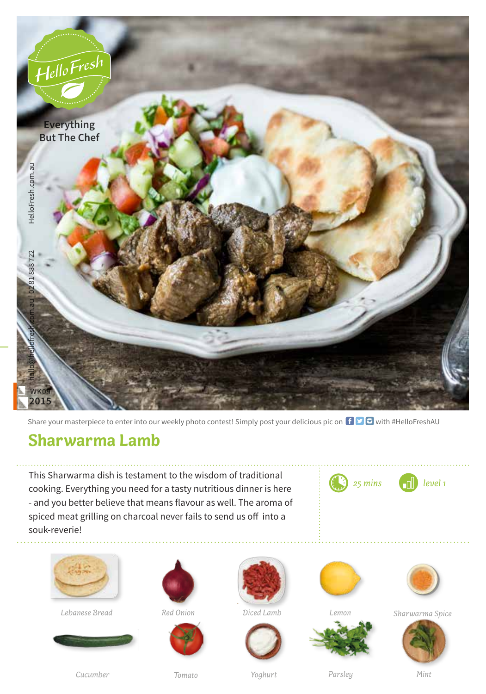

Share your masterpiece to enter into our weekly photo contest! Simply post your delicious pic on  $\bigoplus$   $\bigoplus$  with #HelloFreshAU

## **Sharwarma Lamb**

This Sharwarma dish is testament to the wisdom of traditional cooking. Everything you need for a tasty nutritious dinner is here - and you better believe that means flavour as well. The aroma of spiced meat grilling on charcoal never fails to send us off into a souk-reverie!





**Lebanese Bread** *Red Onion* 















*Sharwarma Spice*



*Cucumber*

*Tomato Yoghurt Parsley Mint*